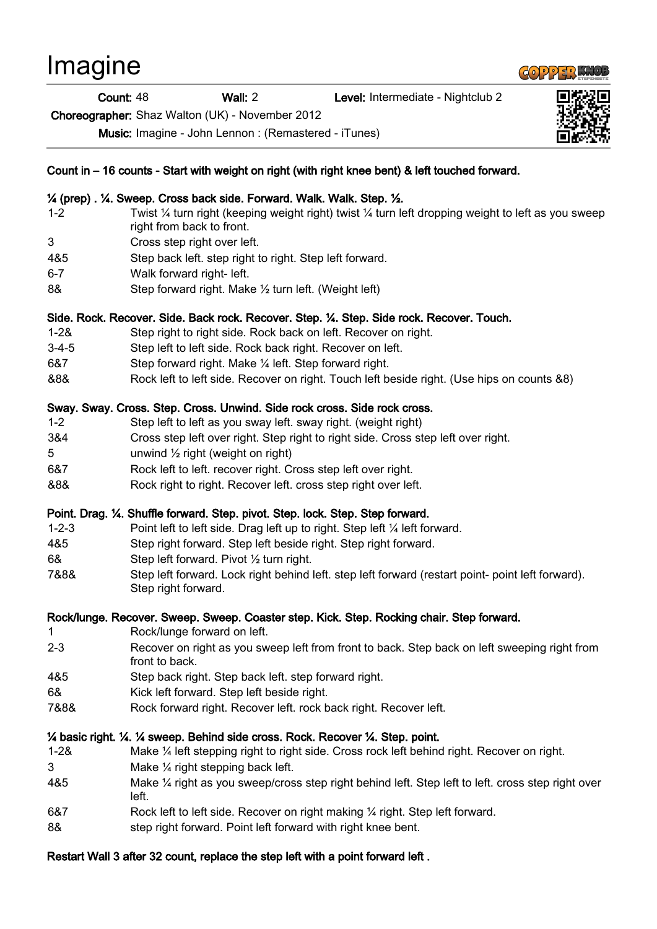# Imagine

#### Count: 48 Wall: 2 Level: Intermediate - Nightclub 2

Choreographer: Shaz Walton (UK) - November 2012

Music: Imagine - John Lennon : (Remastered - iTunes)



#### ¼ (prep) . ¼. Sweep. Cross back side. Forward. Walk. Walk. Step. ½.

- 1-2 Twist ¼ turn right (keeping weight right) twist ¼ turn left dropping weight to left as you sweep right from back to front.
- 3 Cross step right over left.
- 4&5 Step back left. step right to right. Step left forward.
- 6-7 Walk forward right- left.
- 8& Step forward right. Make 1/2 turn left. (Weight left)

#### Side. Rock. Recover. Side. Back rock. Recover. Step. ¼. Step. Side rock. Recover. Touch.

- 1-2& Step right to right side. Rock back on left. Recover on right.
- 3-4-5 Step left to left side. Rock back right. Recover on left.
- 6&7 Step forward right. Make ¼ left. Step forward right.
- &8& Rock left to left side. Recover on right. Touch left beside right. (Use hips on counts &8)

#### Sway. Sway. Cross. Step. Cross. Unwind. Side rock cross. Side rock cross.

- 1-2 Step left to left as you sway left. sway right. (weight right)
- 3&4 Cross step left over right. Step right to right side. Cross step left over right.
- $5$  unwind  $\frac{1}{2}$  right (weight on right)
- 6&7 Rock left to left. recover right. Cross step left over right.
- &8& Rock right to right. Recover left. cross step right over left.

# Point. Drag. ¼. Shuffle forward. Step. pivot. Step. lock. Step. Step forward.

- 1-2-3 Point left to left side. Drag left up to right. Step left ¼ left forward.
- 4&5 Step right forward. Step left beside right. Step right forward.
- 6& Step left forward. Pivot ½ turn right.
- 7&8& Step left forward. Lock right behind left. step left forward (restart point- point left forward). Step right forward.

# Rock/lunge. Recover. Sweep. Sweep. Coaster step. Kick. Step. Rocking chair. Step forward.

- 1 Rock/lunge forward on left.
- 2-3 Recover on right as you sweep left from front to back. Step back on left sweeping right from front to back.
- 4&5 Step back right. Step back left. step forward right.
- 6& Kick left forward. Step left beside right.
- 7&8& Rock forward right. Recover left. rock back right. Recover left.

# ¼ basic right. ¼. ¼ sweep. Behind side cross. Rock. Recover ¼. Step. point.

- 1-2& Make ¼ left stepping right to right side. Cross rock left behind right. Recover on right.
- 3 Make ¼ right stepping back left.
- 4&5 Make ¼ right as you sweep/cross step right behind left. Step left to left. cross step right over left.
- 6&7 Rock left to left side. Recover on right making ¼ right. Step left forward.
- 8& step right forward. Point left forward with right knee bent.

# Restart Wall 3 after 32 count, replace the step left with a point forward left .